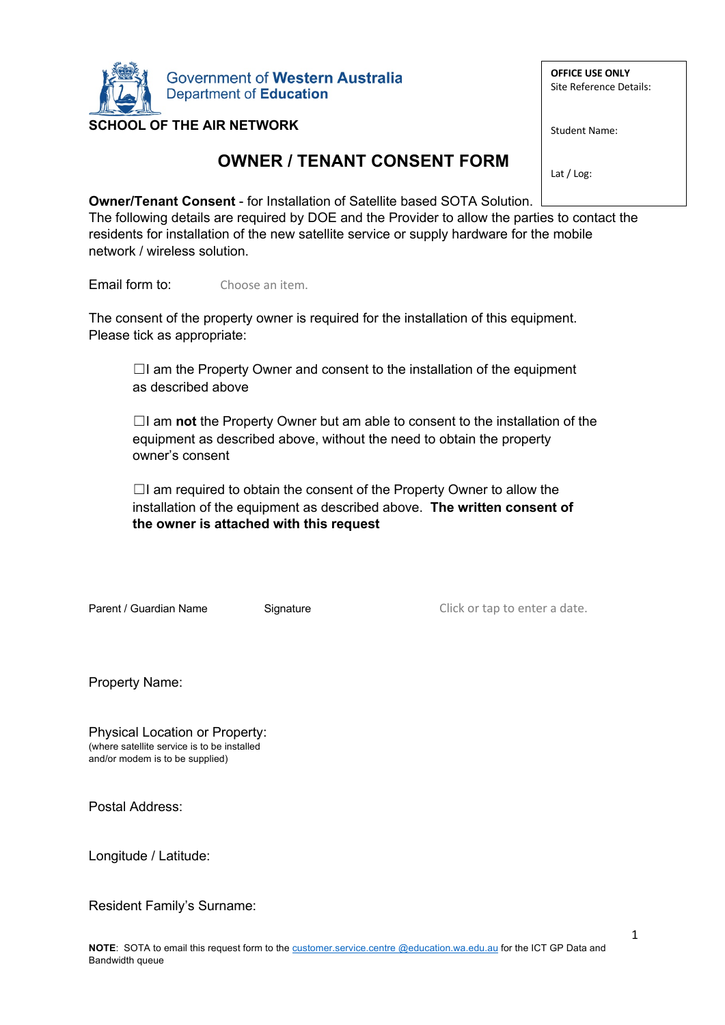

## **OWNER / TENANT CONSENT FORM**

**OFFICE USE ONLY** Site Reference Details:

Student Name:

Lat / Log:

**Owner/Tenant Consent** - for Installation of Satellite based SOTA Solution.

The following details are required by DOE and the Provider to allow the parties to contact the residents for installation of the new satellite service or supply hardware for the mobile network / wireless solution.

Email form to: Choose an item.

The consent of the property owner is required for the installation of this equipment. Please tick as appropriate:

☐I am the Property Owner and consent to the installation of the equipment as described above

☐I am **not** the Property Owner but am able to consent to the installation of the equipment as described above, without the need to obtain the property owner's consent

□I am required to obtain the consent of the Property Owner to allow the installation of the equipment as described above. **The written consent of the owner is attached with this request**

Parent / Guardian Name Signature Click or tap to enter a date.

Property Name:

Physical Location or Property: (where satellite service is to be installed and/or modem is to be supplied)

Postal Address:

Longitude / Latitude:

Resident Family's Surname: